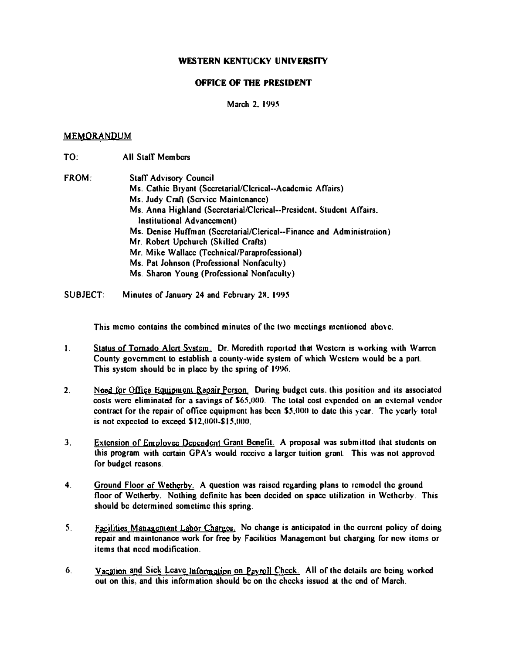## WESTERN KENTUCKY UNIVERSITY

## OFFICE OF THE PRESIDENT

March 2, 1995

## MEMORANDUM

- TO: All Slaff Members
- FROM: Staff Advisory Council Ms. Cathic Bryant (Sccretarial/Clcrical--Acadcmic Affairs) Ms. Judy Craft (Scrvice Maintenance) Ms. Anna Highland (Secrctarial/Clcrical--President, Student Affairs, Institutional Advancement) Ms. Denise Huffman (Secretarial/Clerical--Finance and Administration) Mr. Robert Upchurch (Skilled Crafts) Mr. Mike Wallace (Technical/Paraprofessional) Ms. Pat Johnson (Professional Nonfaculty) Ms. Sharon Young (Professional Nonfaculty)
- SUBJECT: Minutes of January 24 and February 28, 1995

This memo contains the combined minutes of the two meetings mentioned above.

- 1. Status of Tornado Alert System. Dr. Meredith reported that Western is working with Warren County government to establish a county-wide system of which Western would be a part. This system should be in place by the spring of 1996.
- 2. Need for Office Equipment Repair Person. During budget cuts. this position and its associated costs were eliminated for a savings of S65.000. The lolal cosl expended on an external vendor contract for the repair of office equipment has been  $$5,000$  to date this year. The yearly total is not expected to exceed  $$12,000-$15,000$ .
- 3. Extension of Employee Dependent Grant Benefit. A proposal was submitted that students on this program with certain OPA's would receive a larger tuition granl. This was not approved for budget reasons.
- 4. Ground Floor of Wetherby. A question was raised regarding plans to remodel the ground floor of Wetherby. Nothing definite has been decided on space utilization in Wethcrby. This should be determined sometime this spring.
- 5. Facilities Management Labor Charges. No change is anticipated in the current policy of doing repair and maintenance work for free by Facilities Management but charging for ncw items or items that need modification.
- 6. Vacation and Sick Leave Information on Payroll Check. All of the details are being worked out on this, and this information should be on the checks issued at the end of March.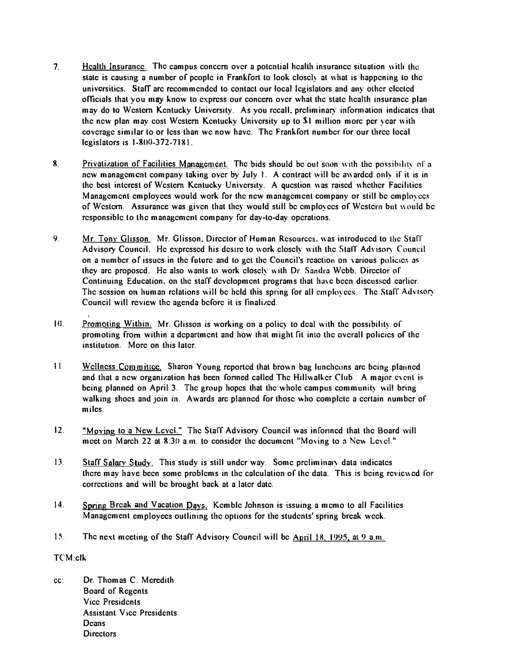- 7. Health Insurance. The campus concern over a potential health insurance situation with the state is causing a number of people in Frankfort to look closely at what is happening to the universitics. Staff arc recommended to contact our local legislators and any other elected officials that you may know to express our concern over what the state heahh insurance plan may do to Western Kentucky University. As you recall, preliminary information indicates that the new plan may cost Western Kentucky University up to \$1 million morc per year with coverage similar to or less than we now have. The Frankfort number for our three local legislators is 1-800-372-7181.
- 8. Privatization of Facilities Management. The bids should be out soon with the possibility of a new management company taking over by July 1. A contract will be awarded only if it is in the best interest ofWcslern Kcntucky University. A question was raised whether Facilities Management employees would work for the new management company or still be employees of Western. Assurance was given that they would still be employees of Western but would be responsible to the management company for day-to-day operations.
- 9. Mr. Tony Glisson. Mr. Glisson. Director of Human Resources. was introduced to the Stafr Advisory Council. He expressed his desire to work closely with the Staff Advisory Council on a number of issues in the future and to get the Council's reaction on various policies as they arc proposcd. He also wants to work elosely wllh Dr. Sandra Webb. Director of Continuing Education, on the staff development programs that have been discussed earlier. The session on human relations will be held this spring for all employees. The Staff Advisory Council will review the agenda before it is linalized.
- 10. Promoting Within. Mr. Glisson is working on a policy to deal with the possibility of promoting from within a department and how thai mig.ht fit inlo the overall policies of the institution, More on this later.
- II Wellness Committcc. Sharon Young reported that brown bag luncheons arc being planned and that a new organization has been formed called The Hillwalker Club. A major event is being planned on April 3. The group hopes that the whole campus community will bring walking shoes and join in. Awards arc planned for those who complete a certain number of miles.
- 12. "Moving to a New Level." The Staff Advisory Council was informed that the Board will meet on March 22 at  $8:30$  a.m. to consider the document "Moving to a New Level."
- 13. Staff Salary Study. This study is still under way. Some preliminary data indicates there may have been some problems in the calculation of the data. This is being reviewed for corrections and will be brought back at a later date.
- 14. Spring Break and Vacation Days. Kemble Johnson is issuing a memo to all Facilities Management employees outlining the options for the students' spring break week.
- 15. The next meeting of the Staff Advisory Council will be April 18, 1995, at 9 a.m.

# TCM:clk

cc: Dr. Thomas C. Meredith Board of Regents Vice Presidents Assistant Vice Presidents **Deans** Directors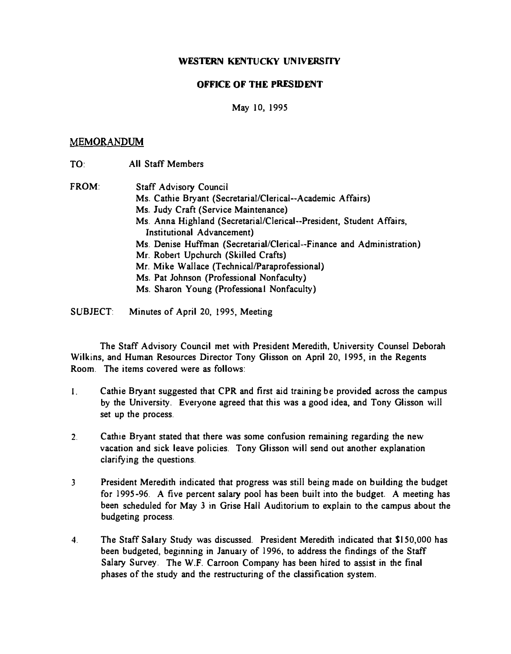# WESTERN KENTUCKY UNIVERSITY

# OFFICE OF THE PRESIDENT

# May 10, 1995

# MEMORANDUM

| TO:          | <b>All Staff Members</b>                                                                           |
|--------------|----------------------------------------------------------------------------------------------------|
| <b>FROM:</b> | Staff Advisory Council                                                                             |
|              | Ms. Cathie Bryant (Secretarial/Clerical--Academic Affairs)                                         |
|              | Ms. Judy Craft (Service Maintenance)                                                               |
|              | Ms. Anna Highland (Secretarial/Clerical--President, Student Affairs,<br>Institutional Advancement) |
|              | Ms. Denise Huffman (Secretarial/Clerical--Finance and Administration)                              |
|              | Mr. Robert Upchurch (Skilled Crafts)                                                               |
|              | Mr. Mike Wallace (Technical/Paraprofessional)                                                      |
|              | Ms. Pat Johnson (Professional Nonfaculty)                                                          |
|              | Ms. Sharon Young (Professional Nonfaculty)                                                         |

SUBJECT: Minutes of April 20, 1995, Meeting

The Staff Advisory Council met with President Meredith, University Counsel Deborah Wilkins, and Human Resources Director Tony Glisson on April 20,1995, in the Regents Room. The items covered were as follows:

- I. Cathie Bryant suggested that CPR and first aid training be provided across the campus by the University. Everyone agreed that this was a good idea, and Tony Glisson will set up the process.
- 2. Cathie Bryant stated that there was some confusion remaining regarding the new vacation and sick leave policies. Tony Glisson will send out another explanation clarifying the questions.
- 3 President Meredith indicated that progress was still being made on building the budget for 1995-96. A five percent salary pool has been built into the budget. A meeting has been scheduled for May 3 in Grise Hall Auditorium to explain to the campus about the budgeting process.
- 4. The Staff Salary Study was discussed. President Meredith indicated that \$150,000 has been budgeted, beginning in January of 1996, to address the findings of the Staff Salary Survey. The W.F. Carroon Company has been hired to assist in the final phases of the study and the restructuring of the classification system.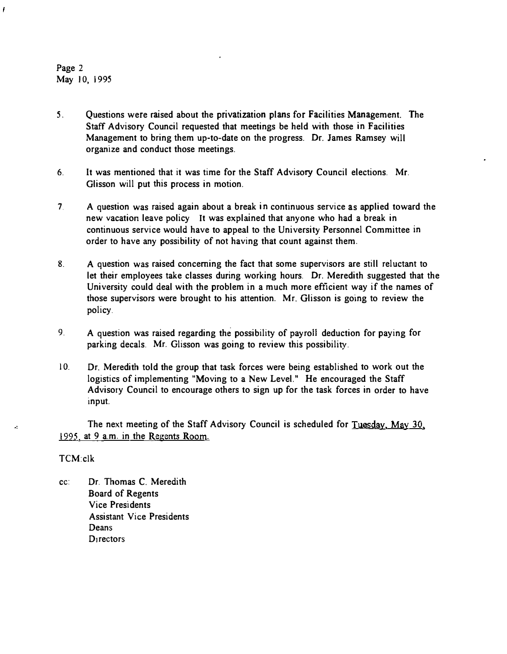Page 2 May 10, 1995

- 5. Questions were raised about the privatization plans for Facilities Management. The Staff Advisory Council requested that meetings be held with those in Facilities Management to bring them up-to-date on the progress. Dr. James Ramsey will organize and conduct those meetings.
- 6. It was mentioned that it was time for the Staff Advisory Council elections. Mr. Glisson will put this process in motion.
- 7. A question was raised again about a break in continuous service as applied toward the new vacation leave policy It was explained that anyone who had a break in continuous service would have to appeal to the University Personnel Committee in order to have any possibility of not having that count against them.
- 8. A question was raised concerning the fact that some supervisors are still reluctant to let their employees take classes during working hours. Dr. Meredith suggested that the University could deal with the problem in a much more efficient way if the names of those supervisors were brought to his attention. Mr. Glisson is going to review the policy.
- 9\_ A question was raised regarding the possibility of payroll deduction for paying for parking decals. Mr. Glisson was going to review this possibility.
- 10. Dr. Meredith told the group that task forces were being established to work out the logistics of implementing "Moving to a New Level." He encouraged the Staff Advisory Council to encourage others to sign up for the task forces in order to have input.

The next meeting of the Staff Advisory Council is scheduled for Tuesday, May 30, 1995. at 9 a.m. in the Regents Room.

## TCM:c1k

cc: Dr. Thomas C. Meredith Board of Regents Vice Presidents Assistant Vice Presidents **Deans D**<sub>1</sub> rectors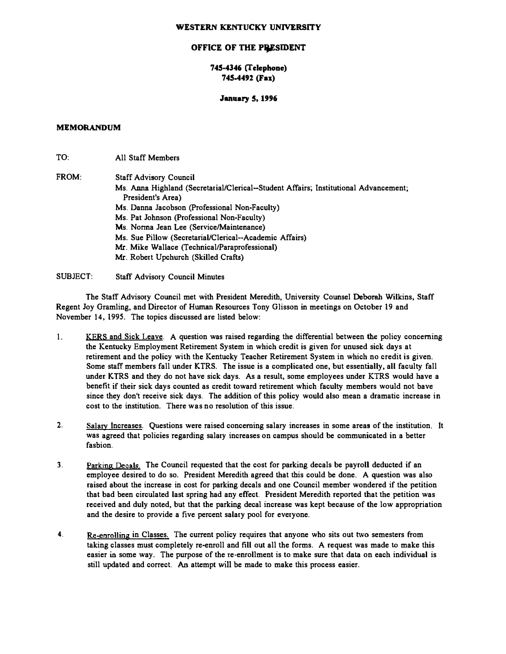#### WESTERN KENTUCKY UNIVERSITY

#### OFFICE OF THE PRESIDENT

## 745-4346 (felephoae) 745-4492 (Fax)

#### January S, 1996

### MEMORANDUM

TO<sup>.</sup> All Staff Members

FROM: Staff Advisory Council Ms. Anna Highland (Secretarial/Clerical-Student Affairs; Institutional Advancement; President's Area) Ms. Danna Jacobson (ProFessional Non-Faculty) Ms. Pat Johnson (Professional Non-Faculty) Ms. Norma Jean Lee (Service/Maintenance) Ms. Sue Pillow (Secretarial/Clerical-Academic Affairs) Mr. Mike Wallace (Technical/Paraprofessional) Mr. Robert Upchurch (Skilled Crafts)

#### SUBJECT: Staff Advisory Council Minutes

The Staff Advisory Council met with President Meredith, University Counsel Deborah Wilkins, Staff Regent Joy Gramling, and Director of Human Resources Tony Glisson in meetings on October 19 and November 14, 1995. The topics discussed are listed below:

- l. KERS and Sick Leave. A question was raised regarding the differential between the policy concerning the Kentucky Employment Retirement System in which credit is given For unused sick days at retirement and the policy with the Kentucky Teacher Retirement System in which no credit is given. Some staff members fall under KTRS. The issue is a complicated one, but essentially. all faculty fall under KTRS and they do not have sick days. As a result, some employees under KTRS would have a benefit if their sick days counted as credit toward retirement which faculty members would not bave since they don't receive sick days. The addition of this policy would also mean a dramatic increase in cost to the institution. There was no resolution of this issue.
- 2. Salary Increases. Questions were raised concerning salary increases in some areas of the institution. It was agreed that policies regarding salary increases on campus should be communicated in a better fasbion.
- 3. Parking Decals. The Council requested that the cost for parking decals be payroll deducted if an employee desired to do so. President Meredith agreed that this could be done. A question was also raised about the increase in cost for parking decals and one Council member wondered if the petition that bad been circulated last spring had any effect. President Meredith reported that the petition was received and duly noted, but that the parking decal increase was kept because of the low appropriation and the desire to provide a five percent salary pool for everyone.
- 4. Re-enrolling in Classes. The current policy requires that anyone who sits out two semesters from taking classes must completely re-enroll and fill out all the forms. A request was made to make this easier in some way. The purpose of the re-enrollment is to make sure that data on each individual is still updated and correct. An attempt will be made to make this process easier.